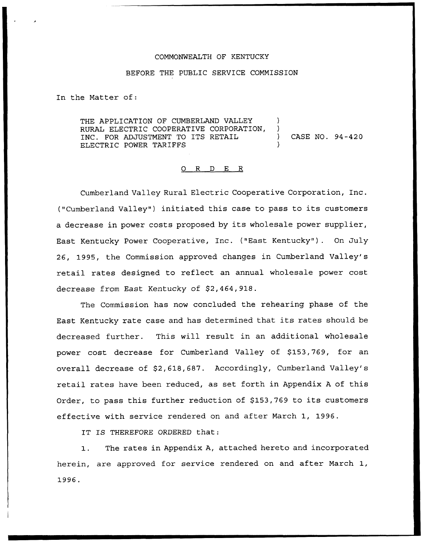### COMMONWEALTH OF KENTUCKY

#### BEFORE THE PUBLIC SERVICE COMMISSION

In the Matter of:

THE APPLICATION OF CUMBERLAND VALLEY RURAL ELECTRIC COOPERATIVE CORPORATION, )<br>INC. FOR ADJUSTMENT TO ITS RETAIL. INC. FOR ADJUSTMENT TO ITS RETAIL ) CASE NO. 94-420 ELECTRIC POWER TARIFFS

#### 0 R <sup>D</sup> E R

Cumberland Valley Rural Electric Cooperative Corporation, Inc. ("Cumberland Valley") initiated this case to pass to its customers a decrease in power costs proposed by its wholesale power supplier, East Kentucky Power Cooperative, Inc. ("East Kentucky" ). On July 26, 1995, the Commission approved changes in Cumberland Valley's retail rates designed to reflect an annual wholesale power cost decrease from East Kentucky of \$2,464,918.

The Commission has now concluded the rehearing phase of the East Kentucky rate case and has determined that its rates should be decreased further. This will result in an additional wholesale power cost decrease for Cumberland Valley of \$153,769, for an overall decrease of \$2,618,687. Accordingly, Cumberland Valley's retail rates have been reduced, as set forth in Appendix <sup>A</sup> of this Order, to pass this further reduction of \$153,769 to its customers effective with service rendered on and after March 1, 1996.

IT IS THEREFORE ORDERED that:

1. The rates in Appendix A, attached hereto and incorporated herein, are approved for service rendered on and after March 1,1996.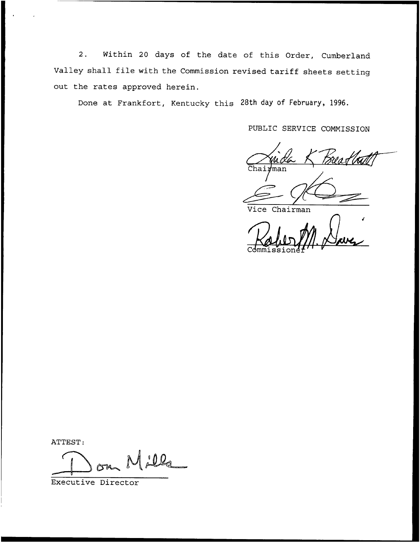2. Within <sup>20</sup> days of the date of this Order, Cumberland Valley shall file with the Commission revised tariff sheets setting out the rates approved herein.

Done at Frankfort, Kentucky this 28th day of February, 1996.

PUBLIC SERVICE COMMISSION

an Ho !man

Vice Chairman

Commissione

ATTEST:

illa a

Executive Director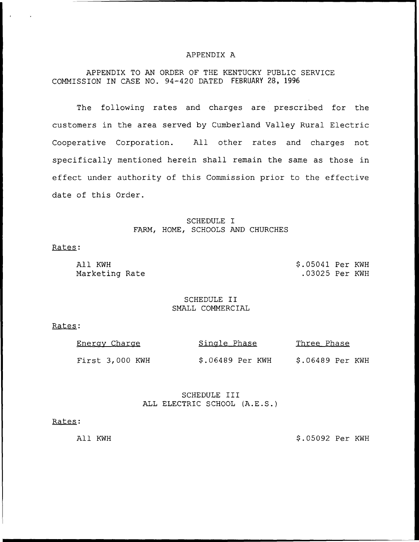### APPENDIX A

# APPENDIX TO AN ORDER OF THE KENTUCKY PUBLIC SERVICE COMMISSION IN CASE NO. 94-420 DATED FEBRUARY 28, 1996

The following rates and charges are prescribed for the customers in the area served by Cumberland Valley Rural Electric Cooperative Corporation. All other rates and charges not specifically mentioned herein shall remain the same as those in effect under authority of this Commission prior to the effective date of this Order.

# SCHEDULE I FARM, HOME, SCHOOLS AND CHURCHES

### Rates:

All KWH Marketing Rate \$ .05041 Per KWH .03025 Per KWH

### SCHEDULE II SMALL COMMERCIAL

### Rates:

| Energy Charge   | Single Phase     | <u>Three Phase</u> |
|-----------------|------------------|--------------------|
| First 3,000 KWH | \$.06489 Per KWH | \$.06489 Per KWH   |

## SCHEDULE III ALL ELECTRIC SCHOOL (A.E.S.)

#### Rates:

All KWH  $$.05092$  Per KWH